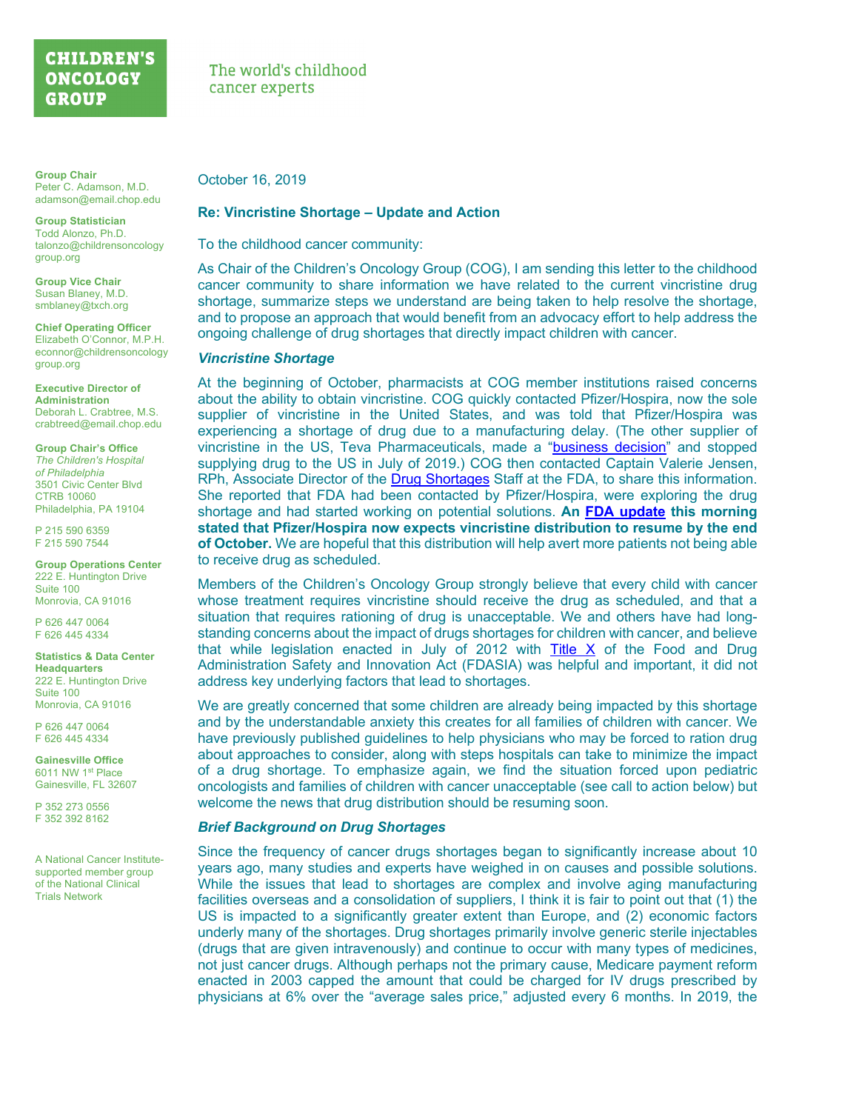# **CHILDREN'S ONCOLOGY GROUP**

**Group Chair** Peter C. Adamson, M.D. adamson@email.chop.edu

**Group Statistician** Todd Alonzo, Ph.D. talonzo@childrensoncology group.org

**Group Vice Chair** Susan Blaney, M.D. smblaney@txch.org

**Chief Operating Officer** Elizabeth O'Connor, M.P.H. econnor@childrensoncology group.org

**Executive Director of Administration** Deborah L. Crabtree, M.S. crabtreed@email.chop.edu

**Group Chair's Office** *The Children's Hospital of Philadelphia* 3501 Civic Center Blvd CTRB 10060 Philadelphia, PA 19104

P 215 590 6359 F 215 590 7544

**Group Operations Center** 222 E. Huntington Drive Suite 100 Monrovia, CA 91016

P 626 447 0064 F 626 445 4334

**Statistics & Data Center Headquarters** 222 E. Huntington Drive Suite 100 Monrovia, CA 91016

P 626 447 0064 F 626 445 4334

**Gainesville Office** 6011 NW 1st Place Gainesville, FL 32607

P 352 273 0556 F 352 392 8162

A National Cancer Institutesupported member group of the National Clinical Trials Network

The world's childhood cancer experts

October 16, 2019

### **Re: Vincristine Shortage – Update and Action**

To the childhood cancer community:

As Chair of the Children's Oncology Group (COG), I am sending this letter to the childhood cancer community to share information we have related to the current vincristine drug shortage, summarize steps we understand are being taken to help resolve the shortage, and to propose an approach that would benefit from an advocacy effort to help address the ongoing challenge of drug shortages that directly impact children with cancer.

### *Vincristine Shortage*

At the beginning of October, pharmacists at COG member institutions raised concerns about the ability to obtain vincristine. COG quickly contacted Pfizer/Hospira, now the sole supplier of vincristine in the United States, and was told that Pfizer/Hospira was experiencing a shortage of drug due to a manufacturing delay. (The other supplier of vincristine in the US, Teva Pharmaceuticals, made a ["business decision](https://www.accessdata.fda.gov/scripts/drugshortages/dsp_ActiveIngredientDetails.cfm?AI=Vincristine+Sulfate+%28VINCASAR+PFS%29+Injection%2C+USP&st=d&tab=tabs-2)" and stopped supplying drug to the US in July of 2019.) COG then contacted Captain Valerie Jensen, RPh, Associate Director of the [Drug Shortages](https://www.fda.gov/drugs/drug-safety-and-availability/drug-shortages) Staff at the FDA, to share this information. She reported that FDA had been contacted by Pfizer/Hospira, were exploring the drug shortage and had started working on potential solutions. **An [FDA update](https://www.accessdata.fda.gov/scripts/drugshortages/dsp_ActiveIngredientDetails.cfm?AI=Vincristine%20Sulfate%20Injection,%20USP%20(Preservative-Free)&st=c) this morning stated that Pfizer/Hospira now expects vincristine distribution to resume by the end of October.** We are hopeful that this distribution will help avert more patients not being able to receive drug as scheduled.

Members of the Children's Oncology Group strongly believe that every child with cancer whose treatment requires vincristine should receive the drug as scheduled, and that a situation that requires rationing of drug is unacceptable. We and others have had longstanding concerns about the impact of drugs shortages for children with cancer, and believe that while legislation enacted in July of 2012 with [Title X](https://www.fda.gov/regulatory-information/food-and-drug-administration-safety-and-innovation-act-fdasia/fact-sheet-drug-products-shortage-united-states) of the Food and Drug Administration Safety and Innovation Act (FDASIA) was helpful and important, it did not address key underlying factors that lead to shortages.

We are greatly concerned that some children are already being impacted by this shortage and by the understandable anxiety this creates for all families of children with cancer. We have previously published guidelines to help physicians who may be forced to ration drug about approaches to consider, along with steps hospitals can take to minimize the impact of a drug shortage. To emphasize again, we find the situation forced upon pediatric oncologists and families of children with cancer unacceptable (see call to action below) but welcome the news that drug distribution should be resuming soon.

## *Brief Background on Drug Shortages*

Since the frequency of cancer drugs shortages began to significantly increase about 10 years ago, many studies and experts have weighed in on causes and possible solutions. While the issues that lead to shortages are complex and involve aging manufacturing facilities overseas and a consolidation of suppliers, I think it is fair to point out that (1) the US is impacted to a significantly greater extent than Europe, and (2) economic factors underly many of the shortages. Drug shortages primarily involve generic sterile injectables (drugs that are given intravenously) and continue to occur with many types of medicines, not just cancer drugs. Although perhaps not the primary cause, Medicare payment reform enacted in 2003 capped the amount that could be charged for IV drugs prescribed by physicians at 6% over the "average sales price," adjusted every 6 months. In 2019, the